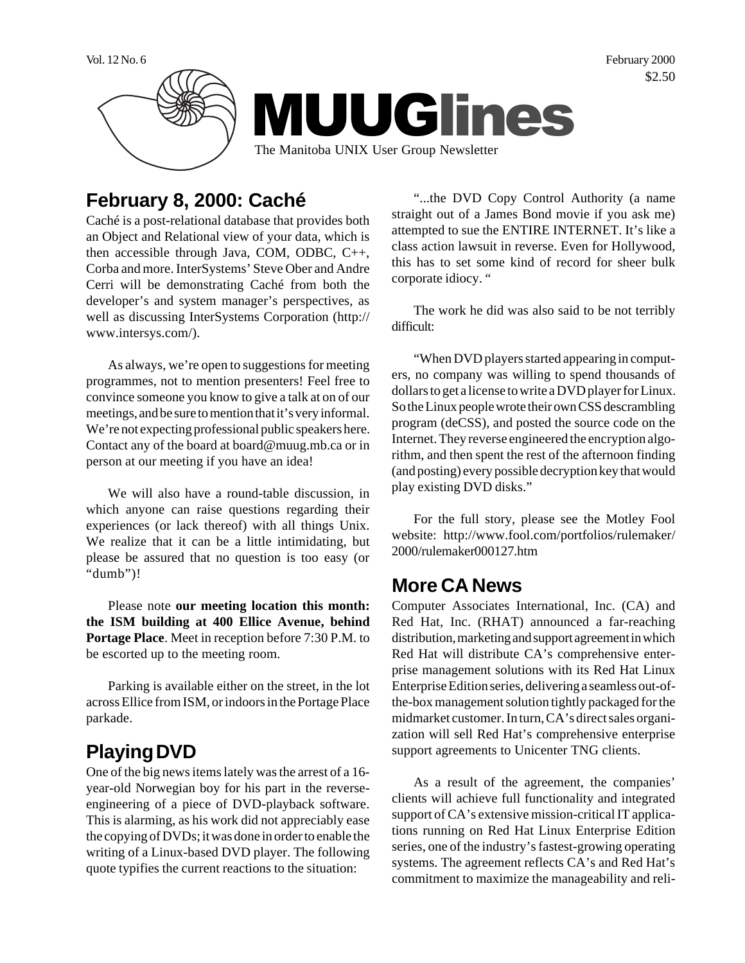Vol. 12 No. 6 February 2000 \$2.50



## **February 8, 2000: Caché**

Caché is a post-relational database that provides both an Object and Relational view of your data, which is then accessible through Java, COM, ODBC, C++, Corba and more. InterSystems' Steve Ober and Andre Cerri will be demonstrating Caché from both the developer's and system manager's perspectives, as well as discussing InterSystems Corporation (http:// www.intersys.com/).

As always, we're open to suggestions for meeting programmes, not to mention presenters! Feel free to convince someone you know to give a talk at on of our meetings, and be sure to mention that it's very informal. We're not expecting professional public speakers here. Contact any of the board at board@muug.mb.ca or in person at our meeting if you have an idea!

We will also have a round-table discussion, in which anyone can raise questions regarding their experiences (or lack thereof) with all things Unix. We realize that it can be a little intimidating, but please be assured that no question is too easy (or "dumb")!

Please note **our meeting location this month: the ISM building at 400 Ellice Avenue, behind Portage Place**. Meet in reception before 7:30 P.M. to be escorted up to the meeting room.

Parking is available either on the street, in the lot across Ellice from ISM, or indoors in the Portage Place parkade.

## **Playing DVD**

One of the big news items lately was the arrest of a 16 year-old Norwegian boy for his part in the reverseengineering of a piece of DVD-playback software. This is alarming, as his work did not appreciably ease the copying of DVDs; it was done in order to enable the writing of a Linux-based DVD player. The following quote typifies the current reactions to the situation:

"...the DVD Copy Control Authority (a name straight out of a James Bond movie if you ask me) attempted to sue the ENTIRE INTERNET. It's like a class action lawsuit in reverse. Even for Hollywood, this has to set some kind of record for sheer bulk corporate idiocy. "

The work he did was also said to be not terribly difficult:

"When DVD players started appearing in computers, no company was willing to spend thousands of dollars to get a license to write a DVD player for Linux. So the Linux people wrote their own CSS descrambling program (deCSS), and posted the source code on the Internet. They reverse engineered the encryption algorithm, and then spent the rest of the afternoon finding (and posting) every possible decryption key that would play existing DVD disks."

For the full story, please see the Motley Fool website: http://www.fool.com/portfolios/rulemaker/ 2000/rulemaker000127.htm

#### **More CA News**

Computer Associates International, Inc. (CA) and Red Hat, Inc. (RHAT) announced a far-reaching distribution, marketing and support agreement in which Red Hat will distribute CA's comprehensive enterprise management solutions with its Red Hat Linux Enterprise Edition series, delivering a seamless out-ofthe-box management solution tightly packaged for the midmarket customer. In turn, CA's direct sales organization will sell Red Hat's comprehensive enterprise support agreements to Unicenter TNG clients.

As a result of the agreement, the companies' clients will achieve full functionality and integrated support of CA's extensive mission-critical IT applications running on Red Hat Linux Enterprise Edition series, one of the industry's fastest-growing operating systems. The agreement reflects CA's and Red Hat's commitment to maximize the manageability and reli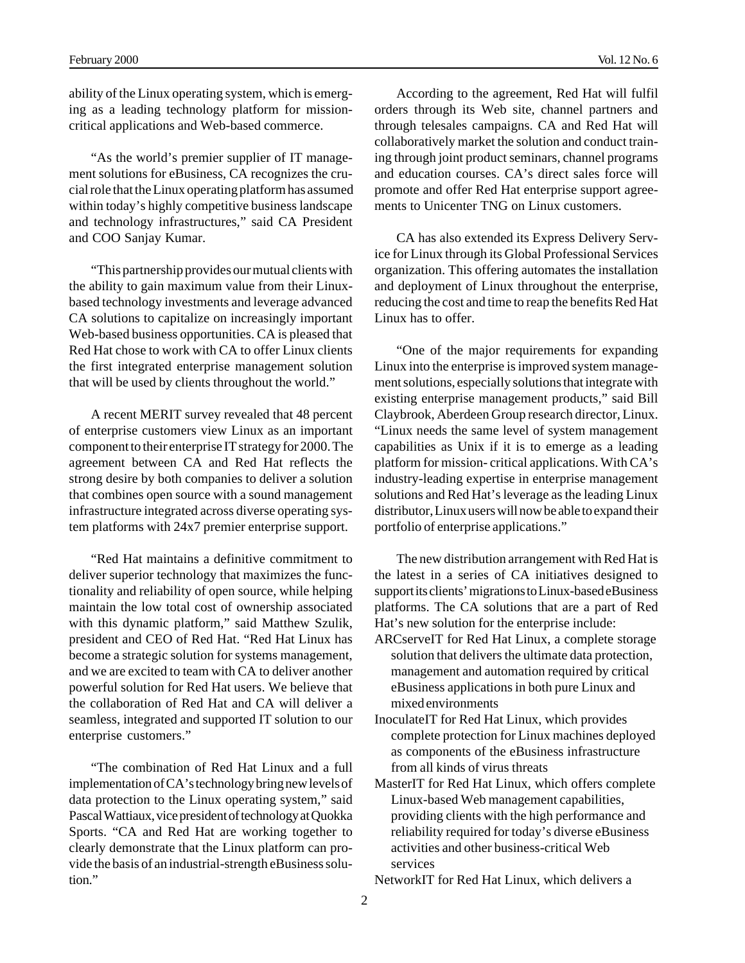ability of the Linux operating system, which is emerging as a leading technology platform for missioncritical applications and Web-based commerce.

"As the world's premier supplier of IT management solutions for eBusiness, CA recognizes the crucial role that the Linux operating platform has assumed within today's highly competitive business landscape and technology infrastructures," said CA President and COO Sanjay Kumar.

"This partnership provides our mutual clients with the ability to gain maximum value from their Linuxbased technology investments and leverage advanced CA solutions to capitalize on increasingly important Web-based business opportunities. CA is pleased that Red Hat chose to work with CA to offer Linux clients the first integrated enterprise management solution that will be used by clients throughout the world."

A recent MERIT survey revealed that 48 percent of enterprise customers view Linux as an important component to their enterprise IT strategy for 2000. The agreement between CA and Red Hat reflects the strong desire by both companies to deliver a solution that combines open source with a sound management infrastructure integrated across diverse operating system platforms with 24x7 premier enterprise support.

"Red Hat maintains a definitive commitment to deliver superior technology that maximizes the functionality and reliability of open source, while helping maintain the low total cost of ownership associated with this dynamic platform," said Matthew Szulik, president and CEO of Red Hat. "Red Hat Linux has become a strategic solution for systems management, and we are excited to team with CA to deliver another powerful solution for Red Hat users. We believe that the collaboration of Red Hat and CA will deliver a seamless, integrated and supported IT solution to our enterprise customers."

"The combination of Red Hat Linux and a full implementation of CA's technology bring new levels of data protection to the Linux operating system," said Pascal Wattiaux, vice president of technology at Quokka Sports. "CA and Red Hat are working together to clearly demonstrate that the Linux platform can provide the basis of an industrial-strength eBusiness solution."

According to the agreement, Red Hat will fulfil orders through its Web site, channel partners and through telesales campaigns. CA and Red Hat will collaboratively market the solution and conduct training through joint product seminars, channel programs and education courses. CA's direct sales force will promote and offer Red Hat enterprise support agreements to Unicenter TNG on Linux customers.

CA has also extended its Express Delivery Service for Linux through its Global Professional Services organization. This offering automates the installation and deployment of Linux throughout the enterprise, reducing the cost and time to reap the benefits Red Hat Linux has to offer.

"One of the major requirements for expanding Linux into the enterprise is improved system management solutions, especially solutions that integrate with existing enterprise management products," said Bill Claybrook, Aberdeen Group research director, Linux. "Linux needs the same level of system management capabilities as Unix if it is to emerge as a leading platform for mission- critical applications. With CA's industry-leading expertise in enterprise management solutions and Red Hat's leverage as the leading Linux distributor, Linux users will now be able to expand their portfolio of enterprise applications."

The new distribution arrangement with Red Hat is the latest in a series of CA initiatives designed to support its clients' migrations to Linux-based eBusiness platforms. The CA solutions that are a part of Red Hat's new solution for the enterprise include:

- ARCserveIT for Red Hat Linux, a complete storage solution that delivers the ultimate data protection, management and automation required by critical eBusiness applications in both pure Linux and mixed environments
- InoculateIT for Red Hat Linux, which provides complete protection for Linux machines deployed as components of the eBusiness infrastructure from all kinds of virus threats
- MasterIT for Red Hat Linux, which offers complete Linux-based Web management capabilities, providing clients with the high performance and reliability required for today's diverse eBusiness activities and other business-critical Web services

NetworkIT for Red Hat Linux, which delivers a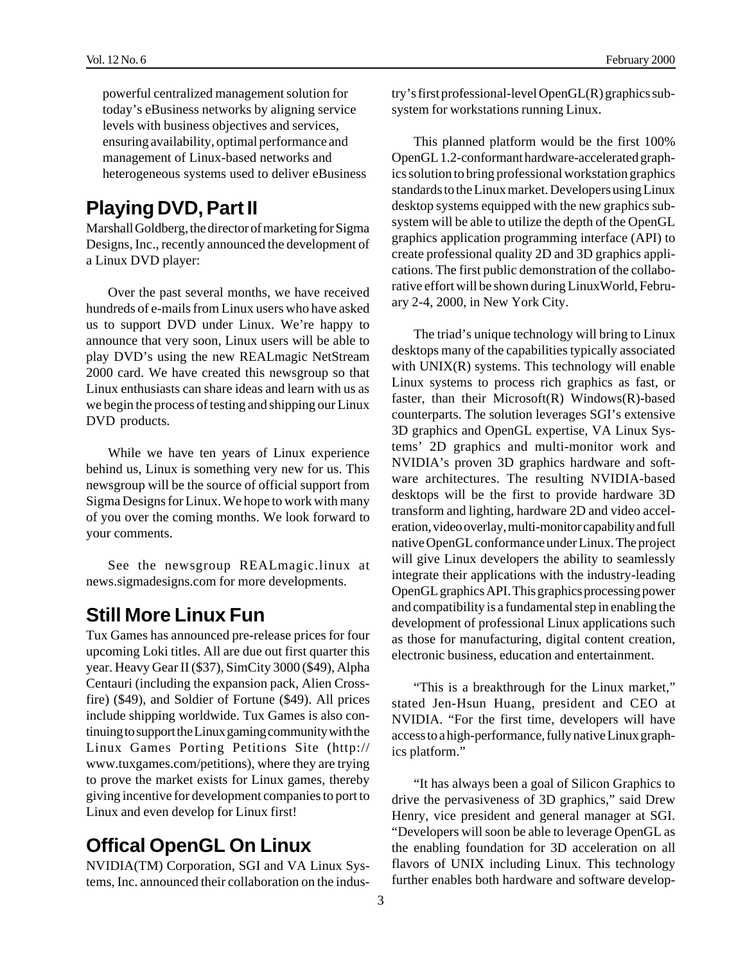powerful centralized management solution for today's eBusiness networks by aligning service levels with business objectives and services, ensuring availability, optimal performance and management of Linux-based networks and heterogeneous systems used to deliver eBusiness

#### **Playing DVD, Part II**

Marshall Goldberg, the director of marketing for Sigma Designs, Inc., recently announced the development of a Linux DVD player:

Over the past several months, we have received hundreds of e-mails from Linux users who have asked us to support DVD under Linux. We're happy to announce that very soon, Linux users will be able to play DVD's using the new REALmagic NetStream 2000 card. We have created this newsgroup so that Linux enthusiasts can share ideas and learn with us as we begin the process of testing and shipping our Linux DVD products.

While we have ten years of Linux experience behind us, Linux is something very new for us. This newsgroup will be the source of official support from Sigma Designs for Linux. We hope to work with many of you over the coming months. We look forward to your comments.

See the newsgroup REALmagic.linux at news.sigmadesigns.com for more developments.

#### **Still More Linux Fun**

Tux Games has announced pre-release prices for four upcoming Loki titles. All are due out first quarter this year. Heavy Gear II (\$37), SimCity 3000 (\$49), Alpha Centauri (including the expansion pack, Alien Crossfire) (\$49), and Soldier of Fortune (\$49). All prices include shipping worldwide. Tux Games is also continuing to support the Linux gaming community with the Linux Games Porting Petitions Site (http:// www.tuxgames.com/petitions), where they are trying to prove the market exists for Linux games, thereby giving incentive for development companies to port to Linux and even develop for Linux first!

#### **Offical OpenGL On Linux**

NVIDIA(TM) Corporation, SGI and VA Linux Systems, Inc. announced their collaboration on the industry's first professional-level OpenGL(R) graphics subsystem for workstations running Linux.

This planned platform would be the first 100% OpenGL 1.2-conformant hardware-accelerated graphics solution to bring professional workstation graphics standards to the Linux market. Developers using Linux desktop systems equipped with the new graphics subsystem will be able to utilize the depth of the OpenGL graphics application programming interface (API) to create professional quality 2D and 3D graphics applications. The first public demonstration of the collaborative effort will be shown during LinuxWorld, February 2-4, 2000, in New York City.

The triad's unique technology will bring to Linux desktops many of the capabilities typically associated with UNIX(R) systems. This technology will enable Linux systems to process rich graphics as fast, or faster, than their Microsoft(R) Windows(R)-based counterparts. The solution leverages SGI's extensive 3D graphics and OpenGL expertise, VA Linux Systems' 2D graphics and multi-monitor work and NVIDIA's proven 3D graphics hardware and software architectures. The resulting NVIDIA-based desktops will be the first to provide hardware 3D transform and lighting, hardware 2D and video acceleration, video overlay, multi-monitor capability and full native OpenGL conformance under Linux. The project will give Linux developers the ability to seamlessly integrate their applications with the industry-leading OpenGL graphics API. This graphics processing power and compatibility is a fundamental step in enabling the development of professional Linux applications such as those for manufacturing, digital content creation, electronic business, education and entertainment.

"This is a breakthrough for the Linux market," stated Jen-Hsun Huang, president and CEO at NVIDIA. "For the first time, developers will have access to a high-performance, fully native Linux graphics platform."

"It has always been a goal of Silicon Graphics to drive the pervasiveness of 3D graphics," said Drew Henry, vice president and general manager at SGI. "Developers will soon be able to leverage OpenGL as the enabling foundation for 3D acceleration on all flavors of UNIX including Linux. This technology further enables both hardware and software develop